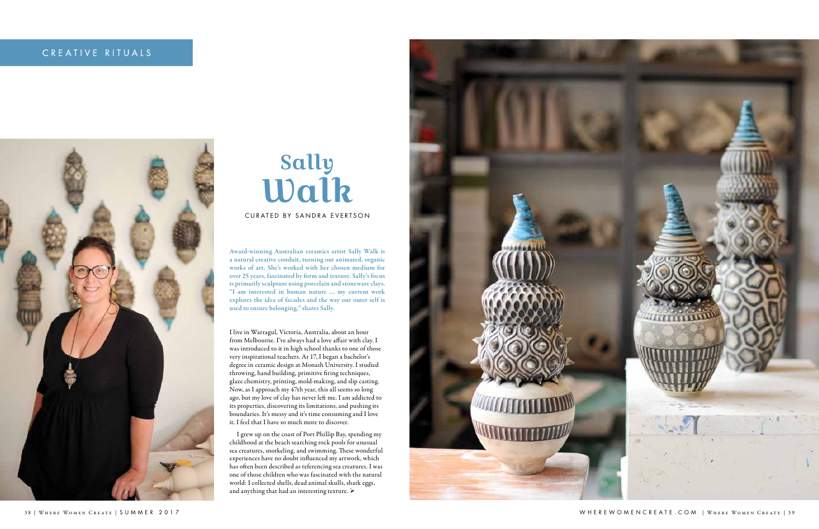## CREATIVE RITUALS



## Sally Walk

CURATED BY SANDRA EVERTSON

Award-winning Australian ceramics artist Sally Walk is a natural creative conduit, turning out animated, organic works of art. She's worked with her chosen medium for over 25 years, fascinated by form and texture. Sally's focus is primarily sculpture using porcelain and stoneware clays. "I am interested in human nature … my current work explores the idea of facades and the way our outer self is used to ensure belonging," shares Sally.

I grew up on the coast of Port Phillip Bay, spending my childhood at the beach searching rock pools for unusual sea creatures, snorkeling, and swimming. These wonderful experiences have no doubt influenced my artwork, which has often been described as referencing sea creatures. I was one of those children who was fascinated with the natural world: I collected shells, dead animal skulls, shark eggs, and anything that had an interesting texture.  $\blacktriangleright$ 



I live in Warragul, Victoria, Australia, about an hour from Melbourne. I've always had a love affair with clay. I was introduced to it in high school thanks to one of those very inspirational teachers. At 17, I began a bachelor's degree in ceramic design at Monash University. I studied throwing, hand building, primitive firing techniques, glaze chemistry, printing, mold-making, and slip casting. Now, as I approach my 47th year, this all seems so long ago, but my love of clay has never left me. I am addicted to its properties, discovering its limitations, and pushing its boundaries. It's messy and it's time consuming and I love it. I feel that I have so much more to discover.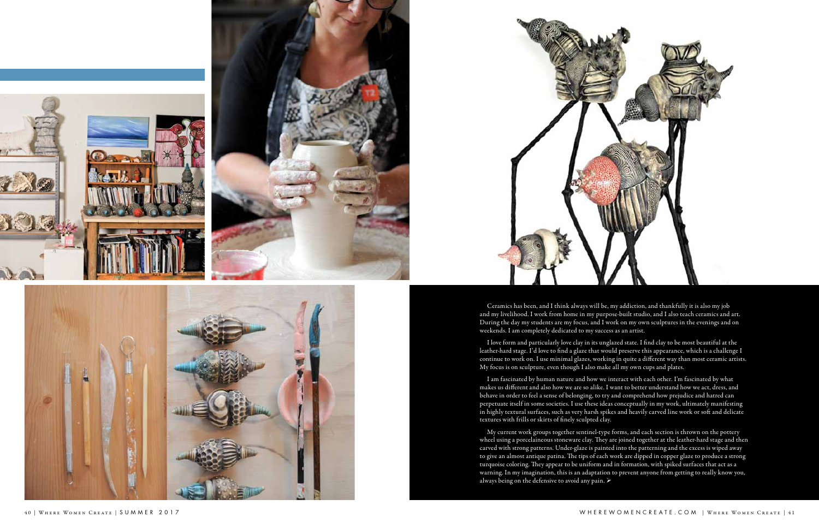







Ceramics has been, and I think always will be, my addiction, and thankfully it is also my job and my livelihood. I work from home in my purpose-built studio, and I also teach ceramics and art. During the day my students are my focus, and I work on my own sculptures in the evenings and on weekends. I am completely dedicated to my success as an artist.

I love form and particularly love clay in its unglazed state. I find clay to be most beautiful at the leather-hard stage. I'd love to find a glaze that would preserve this appearance, which is a challenge I continue to work on. I use minimal glazes, working in quite a different way than most ceramic artists. My focus is on sculpture, even though I also make all my own cups and plates.

My current work groups together sentinel-type forms, and each section is thrown on the pottery wheel using a porcelaineous stoneware clay. They are joined together at the leather-hard stage and then carved with strong patterns. Under-glaze is painted into the patterning and the excess is wiped away to give an almost antique patina. The tips of each work are dipped in copper glaze to produce a strong turquoise coloring. They appear to be uniform and in formation, with spiked surfaces that act as a warning. In my imagination, this is an adaptation to prevent anyone from getting to really know you, always being on the defensive to avoid any pain.  $\blacktriangleright$ 

I am fascinated by human nature and how we interact with each other. I'm fascinated by what makes us different and also how we are so alike. I want to better understand how we act, dress, and behave in order to feel a sense of belonging, to try and comprehend how prejudice and hatred can perpetuate itself in some societies. I use these ideas conceptually in my work, ultimately manifesting in highly textural surfaces, such as very harsh spikes and heavily carved line work or soft and delicate textures with frills or skirts of finely sculpted clay.